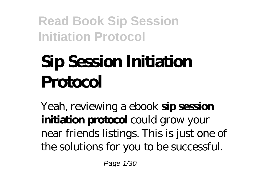# **Sip Session Initiation Protocol**

Yeah, reviewing a ebook **sip session initiation protocol** could grow your near friends listings. This is just one of the solutions for you to be successful.

Page 1/30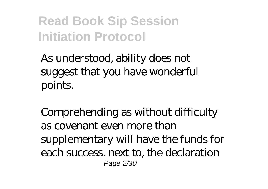As understood, ability does not suggest that you have wonderful points.

Comprehending as without difficulty as covenant even more than supplementary will have the funds for each success. next to, the declaration Page 2/30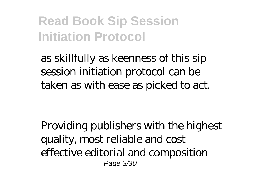as skillfully as keenness of this sip session initiation protocol can be taken as with ease as picked to act.

Providing publishers with the highest quality, most reliable and cost effective editorial and composition Page 3/30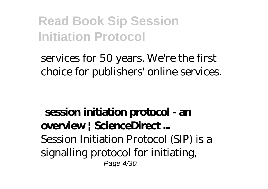#### services for 50 years. We're the first choice for publishers' online services.

#### **session initiation protocol - an overview | ScienceDirect ...** Session Initiation Protocol (SIP) is a signalling protocol for initiating, Page 4/30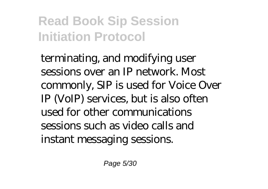terminating, and modifying user sessions over an IP network. Most commonly, SIP is used for Voice Over IP (VoIP) services, but is also often used for other communications sessions such as video calls and instant messaging sessions.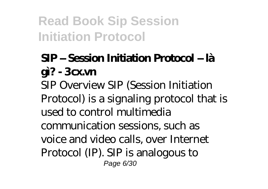### **SIP – Session Initiation Protocol – là gì? - 3cxvn**

SIP Overview SIP (Session Initiation Protocol) is a signaling protocol that is used to control multimedia communication sessions, such as voice and video calls, over Internet Protocol (IP). SIP is analogous to Page 6/30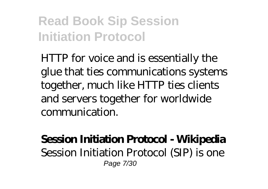HTTP for voice and is essentially the glue that ties communications systems together, much like HTTP ties clients and servers together for worldwide communication.

#### **Session Initiation Protocol - Wikipedia** Session Initiation Protocol (SIP) is one Page 7/30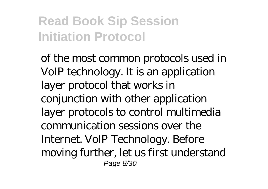of the most common protocols used in VoIP technology. It is an application layer protocol that works in conjunction with other application layer protocols to control multimedia communication sessions over the Internet. VoIP Technology. Before moving further, let us first understand Page 8/30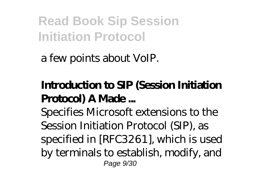a few points about VoIP.

### **Introduction to SIP (Session Initiation Protocol) A Made ...**

Specifies Microsoft extensions to the Session Initiation Protocol (SIP), as specified in [RFC3261], which is used by terminals to establish, modify, and Page 9/30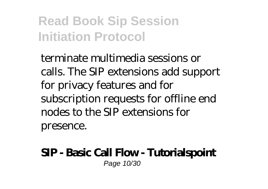terminate multimedia sessions or calls. The SIP extensions add support for privacy features and for subscription requests for offline end nodes to the SIP extensions for presence.

#### **SIP - Basic Call Flow - Tutorialspoint** Page 10/30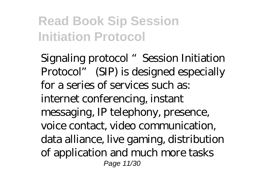Signaling protocol "Session Initiation Protocol" (SIP) is designed especially for a series of services such as: internet conferencing, instant messaging, IP telephony, presence, voice contact, video communication, data alliance, live gaming, distribution of application and much more tasks Page 11/30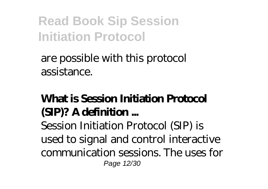#### are possible with this protocol assistance.

### **What is Session Initiation Protocol (SIP)? A definition ...**

Session Initiation Protocol (SIP) is used to signal and control interactive communication sessions. The uses for Page 12/30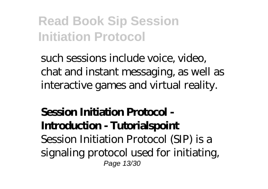such sessions include voice, video, chat and instant messaging, as well as interactive games and virtual reality.

#### **Session Initiation Protocol - Introduction - Tutorialspoint** Session Initiation Protocol (SIP) is a signaling protocol used for initiating, Page 13/30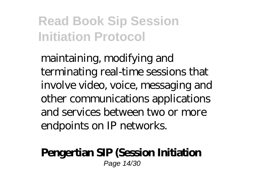maintaining, modifying and terminating real-time sessions that involve video, voice, messaging and other communications applications and services between two or more endpoints on IP networks.

#### **Pengertian SIP (Session Initiation**

Page 14/30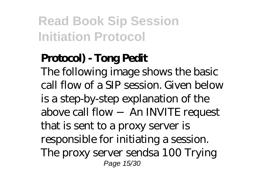### **Protocol) - Tong Pedit**

The following image shows the basic call flow of a SIP session. Given below is a step-by-step explanation of the above call flow − An INVITE request that is sent to a proxy server is responsible for initiating a session. The proxy server sendsa 100 Trying Page 15/30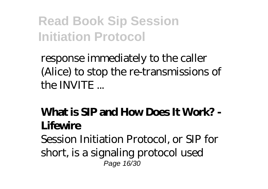response immediately to the caller (Alice) to stop the re-transmissions of the INVITE ...

### **What is SIP and How Does It Work? - Lifewire**

Session Initiation Protocol, or SIP for short, is a signaling protocol used Page 16/30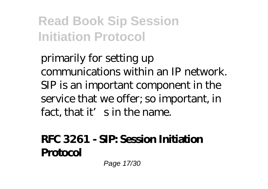primarily for setting up communications within an IP network. SIP is an important component in the service that we offer; so important, in fact, that it's in the name.

#### **RFC 3261 - SIP: Session Initiation Protocol**

Page 17/30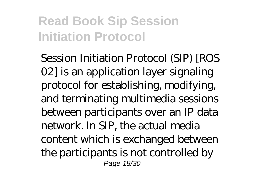Session Initiation Protocol (SIP) [ROS 02] is an application layer signaling protocol for establishing, modifying, and terminating multimedia sessions between participants over an IP data network. In SIP, the actual media content which is exchanged between the participants is not controlled by Page 18/30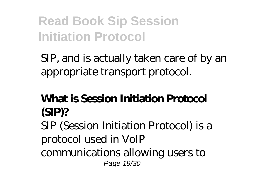SIP, and is actually taken care of by an appropriate transport protocol.

### **What is Session Initiation Protocol (SIP)?**

SIP (Session Initiation Protocol) is a protocol used in VoIP communications allowing users to Page 19/30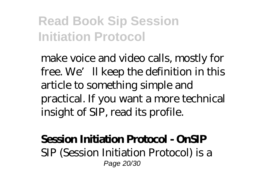make voice and video calls, mostly for free. We'll keep the definition in this article to something simple and practical. If you want a more technical insight of SIP, read its profile.

#### **Session Initiation Protocol - OnSIP**

SIP (Session Initiation Protocol) is a Page 20/30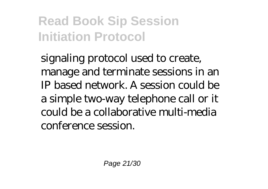signaling protocol used to create, manage and terminate sessions in an IP based network. A session could be a simple two-way telephone call or it could be a collaborative multi-media conference session.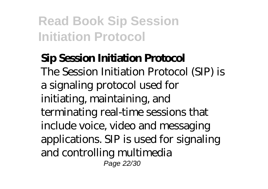#### **Sip Session Initiation Protocol** The Session Initiation Protocol (SIP) is a signaling protocol used for initiating, maintaining, and terminating real-time sessions that include voice, video and messaging applications. SIP is used for signaling and controlling multimedia Page 22/30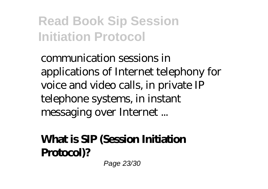communication sessions in applications of Internet telephony for voice and video calls, in private IP telephone systems, in instant messaging over Internet ...

### **What is SIP (Session Initiation Protocol)?**

Page 23/30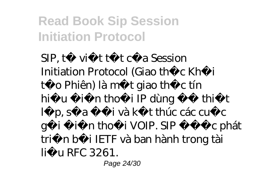SIP, t vi tt tc a Session Initiation Protocol (Giao the c Kh $\,$ i to Phiên) là mit giao thiệt tín hiụ in tho<sub>i</sub> IP dùng thit l p, s a ivà k thúc các cu c gi i n tho<sub>i</sub> VOIP. SIP c phát tri nb i IETF và ban hành trong tài li u RFC 3261.

Page 24/30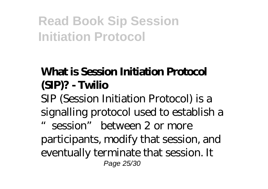### **What is Session Initiation Protocol (SIP)? - Twilio**

SIP (Session Initiation Protocol) is a signalling protocol used to establish a "session" between 2 or more participants, modify that session, and eventually terminate that session. It Page 25/30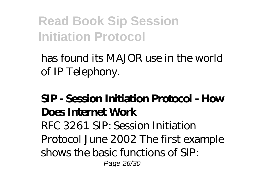has found its MAJOR use in the world of IP Telephony.

### **SIP - Session Initiation Protocol - How Does Internet Work**

RFC 3261 SIP: Session Initiation Protocol June 2002 The first example shows the basic functions of SIP: Page 26/30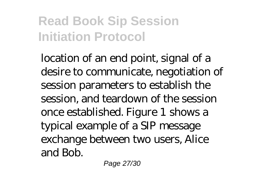location of an end point, signal of a desire to communicate, negotiation of session parameters to establish the session, and teardown of the session once established. Figure 1 shows a typical example of a SIP message exchange between two users, Alice and Bob.

Page 27/30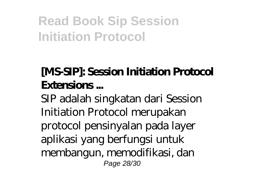### **[MS-SIP]: Session Initiation Protocol Extensions ...**

SIP adalah singkatan dari Session Initiation Protocol merupakan protocol pensinyalan pada layer aplikasi yang berfungsi untuk membangun, memodifikasi, dan Page 28/30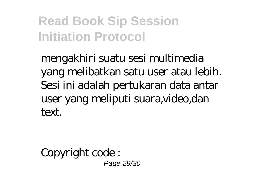mengakhiri suatu sesi multimedia yang melibatkan satu user atau lebih. Sesi ini adalah pertukaran data antar user yang meliputi suara,video,dan text.

Copyright code : Page 29/30